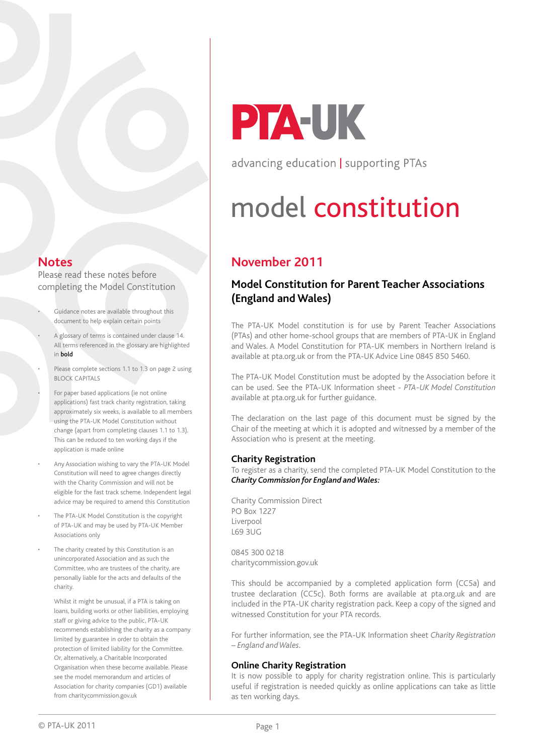### **Notes**

Please read these notes before completing the Model Constitution

- Guidance notes are available throughout this document to help explain certain points
- A glossary of terms is contained under clause 14. All terms referenced in the glossary are highlighted in bold
- Please complete sections 1.1 to 1.3 on page 2 using BLOCK CAPITALS
- For paper based applications (ie not online applications) fast track charity registration, taking approximately six weeks, is available to all members using the PTA-UK Model Constitution without change (apart from completing clauses 1.1 to 1.3). This can be reduced to ten working days if the application is made online
- Any Association wishing to vary the PTA-UK Model Constitution will need to agree changes directly with the Charity Commission and will not be eligible for the fast track scheme. Independent legal advice may be required to amend this Constitution
- The PTA-UK Model Constitution is the copyright of PTA-UK and may be used by PTA-UK Member Associations only
- The charity created by this Constitution is an unincorporated Association and as such the Committee, who are trustees of the charity, are personally liable for the acts and defaults of the charity.

Whilst it might be unusual, if a PTA is taking on loans, building works or other liabilities, employing staff or giving advice to the public, PTA-UK recommends establishing the charity as a company limited by guarantee in order to obtain the protection of limited liability for the Committee. Or, alternatively, a Charitable Incorporated Organisation when these become available. Please see the model memorandum and articles of Association for charity companies (GD1) available from charitycommission.gov.uk

# **PTA-UK**

advancing education | supporting PTAs

# model constitution

# **November 2011**

## **Model Constitution for Parent Teacher Associations (England and Wales)**

The PTA-UK Model constitution is for use by Parent Teacher Associations (PTAs) and other home-school groups that are members of PTA-UK in England and Wales. A Model Constitution for PTA-UK members in Northern Ireland is available at pta.org.uk or from the PTA-UK Advice Line 0845 850 5460.

The PTA-UK Model Constitution must be adopted by the Association before it can be used. See the PTA-UK Information sheet - *PTA-UK Model Constitution* available at pta.org.uk for further guidance.

The declaration on the last page of this document must be signed by the Chair of the meeting at which it is adopted and witnessed by a member of the Association who is present at the meeting.

#### **Charity Registration**

To register as a charity, send the completed PTA-UK Model Constitution to the *Charity Commission for England and Wales:*

Charity Commission Direct PO Box 1227 Liverpool L69 3UG

0845 300 0218 charitycommission.gov.uk

This should be accompanied by a completed application form (CC5a) and trustee declaration (CC5c). Both forms are available at pta.org.uk and are included in the PTA-UK charity registration pack. Keep a copy of the signed and witnessed Constitution for your PTA records.

For further information, see the PTA-UK Information sheet *Charity Registration – England and Wales.* 

#### **Online Charity Registration**

It is now possible to apply for charity registration online. This is particularly useful if registration is needed quickly as online applications can take as little as ten working days.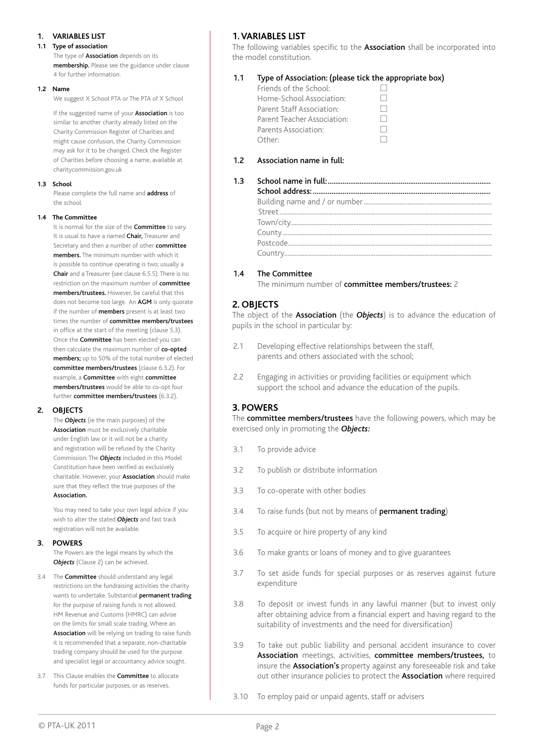#### **1. Variables list**

#### **1.1 Type of association**

The type of **Association** depends on its membership. Please see the guidance under clause 4 for further information.

#### **1.2 Name**

We suggest X School PTA or The PTA of X School

If the suggested name of your **Association** is too similar to another charity already listed on the Charity Commission Register of Charities and might cause confusion, the Charity Commission may ask for it to be changed. Check the Register of Charities before choosing a name, available at charitycommission.gov.uk

#### **1.3 School**

Please complete the full name and **address** of the school.

#### **1.4 The Committee**

It is normal for the size of the **Committee** to vary. It is usual to have a named Chair, Treasurer and Secretary and then a number of other committee members. The minimum number with which it is possible to continue operating is two; usually a Chair and a Treasurer (see clause 6.5.5). There is no restriction on the maximum number of **committee** members/trustees. However, be careful that this does not become too large. An **AGM** is only quorate if the number of **members** present is at least two times the number of **committee members/trustees** in office at the start of the meeting (clause 5.3). Once the Committee has been elected you can then calculate the maximum number of co-opted members; up to 50% of the total number of elected committee members/trustees (clause 6.3.2). For example, a Committee with eight committee members/trustees would be able to co-opt four further committee members/trustees (6.3.2).

#### **2. Objects**

The *Objects* (ie the main purposes) of the Association must be exclusively charitable under English law or it will not be a charity and registration will be refused by the Charity Commission. The *Objects* included in this Model Constitution have been verified as exclusively charitable. However, your Association should make sure that they reflect the true purposes of the Association.

You may need to take your own legal advice if you wish to alter the stated *Objects* and fast track registration will not be available.

#### **3. POWERS**

The Powers are the legal means by which the **Objects** (Clause 2) can be achieved.

- 3.4 The **Committee** should understand any legal restrictions on the fundraising activities the charity wants to undertake. Substantial permanent trading for the purpose of raising funds is not allowed. HM Revenue and Customs (HMRC) can advise on the limits for small scale trading. Where an Association will be relying on trading to raise funds it is recommended that a separate, non-charitable trading company should be used for the purpose and specialist legal or accountancy advice sought.
- 3.7 This Clause enables the **Committee** to allocate funds for particular purposes, or as reserves.

#### **1. Variables list**

The following variables specific to the **Association** shall be incorporated into the model constitution.

#### 1.1 Type of Association: (please tick the appropriate box)

| Friends of the School:      |  |
|-----------------------------|--|
| Home-School Association:    |  |
| Parent Staff Association:   |  |
| Parent Teacher Association: |  |
| Parents Association:        |  |
| Other:                      |  |

#### 1.2 Association name in full:

| 1.3 |  |
|-----|--|
|     |  |
|     |  |
|     |  |
|     |  |
|     |  |
|     |  |
|     |  |

#### 1.4 The Committee

The minimum number of committee members/trustees: 2

#### **2. Objects**

The object of the Association (the *Objects*) is to advance the education of pupils in the school in particular by:

- 2.1 Developing effective relationships between the staff, parents and others associated with the school;
- 2.2 Engaging in activities or providing facilities or equipment which support the school and advance the education of the pupils.

#### **3. Powers**

The **committee members/trustees** have the following powers, which may be exercised only in promoting the *Objects:*

- 3.1 To provide advice
- 3.2 To publish or distribute information
- 3.3 To co-operate with other bodies
- 3.4 To raise funds (but not by means of **permanent trading**)
- 3.5 To acquire or hire property of any kind
- 3.6 To make grants or loans of money and to give guarantees
- 3.7 To set aside funds for special purposes or as reserves against future expenditure
- 3.8 To deposit or invest funds in any lawful manner (but to invest only after obtaining advice from a financial expert and having regard to the suitability of investments and the need for diversification)
- 3.9 To take out public liability and personal accident insurance to cover Association meetings, activities, committee members/trustees, to insure the **Association's** property against any foreseeable risk and take out other insurance policies to protect the **Association** where required
- 3.10 To employ paid or unpaid agents, staff or advisers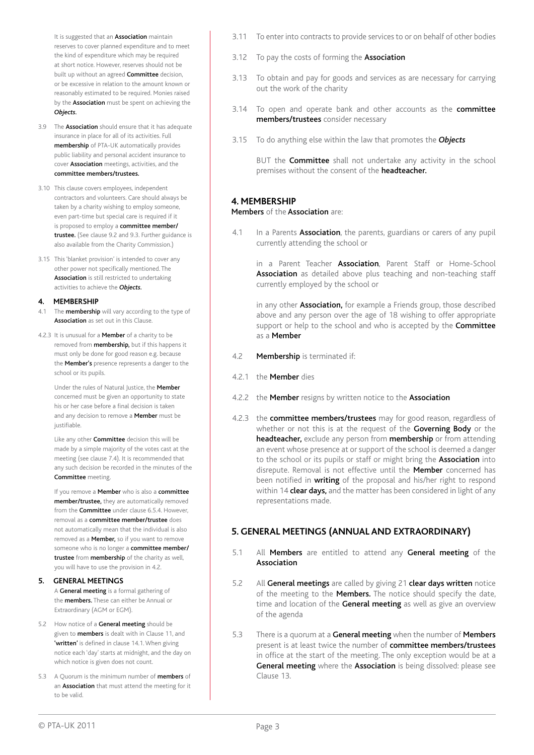It is suggested that an **Association** maintain reserves to cover planned expenditure and to meet the kind of expenditure which may be required at short notice. However, reserves should not be built up without an agreed **Committee** decision, or be excessive in relation to the amount known or reasonably estimated to be required. Monies raised by the **Association** must be spent on achieving the *Objects.* 

- 3.9 The **Association** should ensure that it has adequate insurance in place for all of its activities. Full membership of PTA-UK automatically provides public liability and personal accident insurance to cover Association meetings, activities, and the committee members/trustees.
- 3.10 This clause covers employees, independent contractors and volunteers. Care should always be taken by a charity wishing to employ someone, even part-time but special care is required if it is proposed to employ a committee member/ trustee. (See clause 9.2 and 9.3. Further guidance is also available from the Charity Commission.)
- 3.15 This 'blanket provision' is intended to cover any other power not specifically mentioned. The Association is still restricted to undertaking activities to achieve the *Objects.*

#### **4. MEMBERSHIP**

- 4.1 The **membership** will vary according to the type of Association as set out in this Clause.
- 4.2.3 It is unusual for a **Member** of a charity to be removed from **membership**, but if this happens it must only be done for good reason e.g. because the **Member's** presence represents a danger to the school or its pupils.

Under the rules of Natural Justice, the Member concerned must be given an opportunity to state his or her case before a final decision is taken and any decision to remove a **Member** must be justifiable.

Like any other **Committee** decision this will be made by a simple majority of the votes cast at the meeting (see clause 7.4). It is recommended that any such decision be recorded in the minutes of the Committee meeting.

If you remove a Member who is also a committee member/trustee, they are automatically removed from the **Committee** under clause 6.5.4. However, removal as a committee member/trustee does not automatically mean that the individual is also removed as a **Member**, so if you want to remove someone who is no longer a committee member/ trustee from membership of the charity as well, you will have to use the provision in 4.2.

**5. GENERAL MEETINGS** A General meeting is a formal gathering of

the **members.** These can either be Annual or Extraordinary (AGM or EGM).

- 5.2 How notice of a **General meeting** should be given to **members** is dealt with in Clause 11, and 'written' is defined in clause 14.1. When giving notice each 'day' starts at midnight, and the day on which notice is given does not count.
- 5.3 A Quorum is the minimum number of **members** of an Association that must attend the meeting for it to be valid.
- 3.11 To enter into contracts to provide services to or on behalf of other bodies
- 3.12 To pay the costs of forming the **Association**
- 3.13 To obtain and pay for goods and services as are necessary for carrying out the work of the charity
- 3.14 To open and operate bank and other accounts as the **committee** members/trustees consider necessary
- 3.15 To do anything else within the law that promotes the *Objects*

BUT the **Committee** shall not undertake any activity in the school premises without the consent of the **headteacher.** 

#### **4. Membership**

Members of the Association are:

4.1 In a Parents **Association**, the parents, guardians or carers of any pupil currently attending the school or

in a Parent Teacher **Association**. Parent Staff or Home-School Association as detailed above plus teaching and non-teaching staff currently employed by the school or

in any other Association, for example a Friends group, those described above and any person over the age of 18 wishing to offer appropriate support or help to the school and who is accepted by the **Committee** as a Member

- 4.2 Membership is terminated if:
- 4.2.1 the Member dies
- 4.2.2 the Member resigns by written notice to the Association
- 4.2.3 the **committee members/trustees** may for good reason, regardless of whether or not this is at the request of the **Governing Body** or the headteacher, exclude any person from membership or from attending an event whose presence at or support of the school is deemed a danger to the school or its pupils or staff or might bring the **Association** into disrepute. Removal is not effective until the **Member** concerned has been notified in writing of the proposal and his/her right to respond within 14 **clear days,** and the matter has been considered in light of any representations made.

#### **5. General meetings (annual and extraordinary)**

- 5.1 All Members are entitled to attend any General meeting of the Association
- 5.2 All General meetings are called by giving 21 clear days written notice of the meeting to the Members. The notice should specify the date, time and location of the **General meeting** as well as give an overview of the agenda
- 5.3 There is a quorum at a General meeting when the number of Members present is at least twice the number of **committee members/trustees** in office at the start of the meeting. The only exception would be at a General meeting where the Association is being dissolved: please see Clause 13.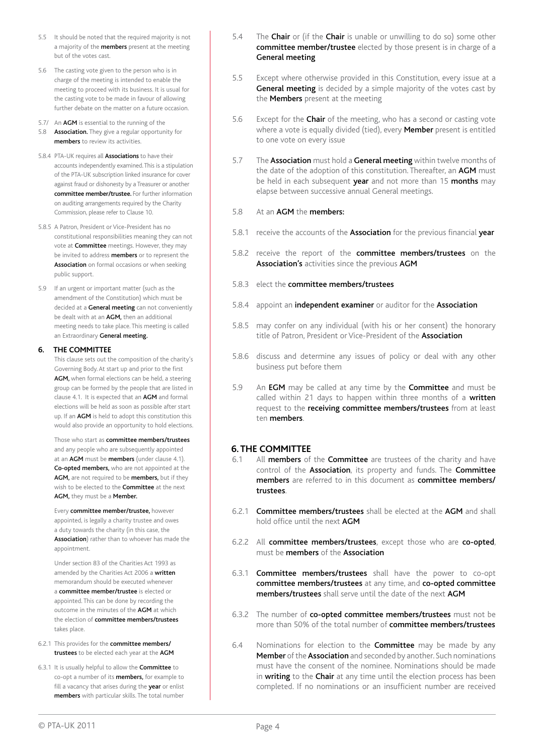- 5.5 It should be noted that the required majority is not a majority of the **members** present at the meeting but of the votes cast.
- 5.6 The casting vote given to the person who is in charge of the meeting is intended to enable the meeting to proceed with its business. It is usual for the casting vote to be made in favour of allowing further debate on the matter on a future occasion.
- 5.7/ An **AGM** is essential to the running of the
- 5.8 **Association.** They give a regular opportunity for members to review its activities.
- 5.8.4 PTA-UK requires all **Associations** to have their accounts independently examined. This is a stipulation of the PTA-UK subscription linked insurance for cover against fraud or dishonesty by a Treasurer or another committee member/trustee. For further information on auditing arrangements required by the Charity Commission, please refer to Clause 10.
- 5.8.5 A Patron, President or Vice-President has no constitutional responsibilities meaning they can not vote at Committee meetings. However, they may be invited to address members or to represent the Association on formal occasions or when seeking public support.
- 5.9 If an urgent or important matter (such as the amendment of the Constitution) which must be decided at a General meeting can not conveniently be dealt with at an  $AGM$ , then an additional meeting needs to take place. This meeting is called an Extraordinary General meeting.

#### **6. THE COMMITTEE**

This clause sets out the composition of the charity's Governing Body. At start up and prior to the first AGM, when formal elections can be held, a steering group can be formed by the people that are listed in clause 4.1. It is expected that an AGM and formal elections will be held as soon as possible after start up. If an AGM is held to adopt this constitution this would also provide an opportunity to hold elections.

Those who start as committee members/trustees and any people who are subsequently appointed at an AGM must be members (under clause 4.1). Co-opted members, who are not appointed at the AGM, are not required to be members, but if they wish to be elected to the **Committee** at the next AGM, they must be a Member.

Every committee member/trustee, however appointed, is legally a charity trustee and owes a duty towards the charity (in this case, the Association) rather than to whoever has made the appointment.

Under section 83 of the Charities Act 1993 as amended by the Charities Act 2006 a written memorandum should be executed whenever a committee member/trustee is elected or appointed. This can be done by recording the outcome in the minutes of the AGM at which the election of committee members/trustees takes place.

- 6.2.1 This provides for the committee members/ trustees to be elected each year at the AGM
- 6.3.1 It is usually helpful to allow the Committee to co-opt a number of its members, for example to fill a vacancy that arises during the year or enlist members with particular skills. The total number
- 5.4 The **Chair** or (if the **Chair** is unable or unwilling to do so) some other committee member/trustee elected by those present is in charge of a General meeting
- 5.5 Except where otherwise provided in this Constitution, every issue at a General meeting is decided by a simple majority of the votes cast by the **Members** present at the meeting
- 5.6 Except for the **Chair** of the meeting, who has a second or casting vote where a vote is equally divided (tied), every **Member** present is entitled to one vote on every issue
- 5.7 The Association must hold a General meeting within twelve months of the date of the adoption of this constitution. Thereafter, an AGM must be held in each subsequent year and not more than 15 months may elapse between successive annual General meetings.
- 5.8 At an AGM the members:
- 5.8.1 receive the accounts of the **Association** for the previous financial **vear**
- 5.8.2 receive the report of the committee members/trustees on the Association's activities since the previous AGM
- 5.8.3 elect the committee members/trustees
- 5.8.4 appoint an independent examiner or auditor for the Association
- 5.8.5 may confer on any individual (with his or her consent) the honorary title of Patron, President or Vice-President of the Association
- 5.8.6 discuss and determine any issues of policy or deal with any other business put before them
- 5.9 An **EGM** may be called at any time by the **Committee** and must be called within 21 days to happen within three months of a written request to the receiving committee members/trustees from at least ten members.

#### **6. The committee**

- 6.1 All members of the Committee are trustees of the charity and have control of the Association, its property and funds. The Committee members are referred to in this document as committee members/ trustees.
- 6.2.1 Committee members/trustees shall be elected at the AGM and shall hold office until the next AGM
- 6.2.2 All committee members/trustees, except those who are co-opted, must be members of the Association
- 6.3.1 Committee members/trustees shall have the power to co-opt committee members/trustees at any time, and co-opted committee members/trustees shall serve until the date of the next AGM
- 6.3.2 The number of co-opted committee members/trustees must not be more than 50% of the total number of **committee members/trustees**
- 6.4 Nominations for election to the **Committee** may be made by any Member of the Association and seconded by another. Such nominations must have the consent of the nominee. Nominations should be made in writing to the Chair at any time until the election process has been completed. If no nominations or an insufficient number are received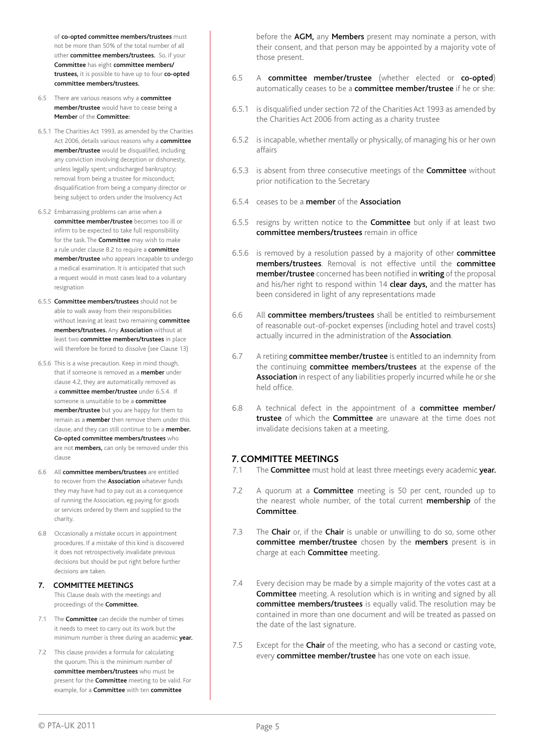of co-opted committee members/trustees must not be more than 50% of the total number of all other committee members/trustees. So, if your Committee has eight committee members/ trustees, it is possible to have up to four co-opted committee members/trustees.

- 6.5 There are various reasons why a **committee** member/trustee would have to cease being a Member of the Committee:
- 6.5.1 The Charities Act 1993, as amended by the Charities Act 2006, details various reasons why a committee member/trustee would be disqualified, including any conviction involving deception or dishonesty, unless legally spent; undischarged bankruptcy; removal from being a trustee for misconduct; disqualification from being a company director or being subject to orders under the Insolvency Act
- 6.5.2 Embarrassing problems can arise when a committee member/trustee becomes too ill or infirm to be expected to take full responsibility for the task. The **Committee** may wish to make a rule under clause 8.2 to require a committee member/trustee who appears incapable to undergo a medical examination. It is anticipated that such a request would in most cases lead to a voluntary resignation
- 6.5.5 Committee members/trustees should not be able to walk away from their responsibilities without leaving at least two remaining committee members/trustees. Any Association without at least two committee members/trustees in place will therefore be forced to dissolve (see Clause 13)
- 6.5.6 This is a wise precaution. Keep in mind though, that if someone is removed as a **member** under clause 4.2, they are automatically removed as a committee member/trustee under 6.5.4. If someone is unsuitable to be a **committee** member/trustee but you are happy for them to remain as a **member** then remove them under this clause, and they can still continue to be a member. Co-opted committee members/trustees who are not **members**, can only be removed under this clause
- 6.6 All committee members/trustees are entitled to recover from the **Association** whatever funds they may have had to pay out as a consequence of running the Association, eg paying for goods or services ordered by them and supplied to the charity.
- 6.8 Occasionally a mistake occurs in appointment procedures. If a mistake of this kind is discovered it does not retrospectively invalidate previous decisions but should be put right before further decisions are taken.
- **7. COMMITTEE MEETINGS** This Clause deals with the meetings and proceedings of the Committee.
- 7.1 The **Committee** can decide the number of times it needs to meet to carry out its work but the minimum number is three during an academic year.
- 7.2 This clause provides a formula for calculating the quorum. This is the minimum number of committee members/trustees who must be present for the **Committee** meeting to be valid. For example, for a Committee with ten committee

before the AGM, any Members present may nominate a person, with their consent, and that person may be appointed by a majority vote of those present.

- 6.5 A committee member/trustee (whether elected or co-opted) automatically ceases to be a committee member/trustee if he or she:
- 6.5.1 is disqualified under section 72 of the Charities Act 1993 as amended by the Charities Act 2006 from acting as a charity trustee
- 6.5.2 is incapable, whether mentally or physically, of managing his or her own affairs
- 6.5.3 is absent from three consecutive meetings of the Committee without prior notification to the Secretary
- 6.5.4 ceases to be a member of the Association
- 6.5.5 resigns by written notice to the **Committee** but only if at least two committee members/trustees remain in office
- 6.5.6 is removed by a resolution passed by a majority of other **committee** members/trustees. Removal is not effective until the committee member/trustee concerned has been notified in writing of the proposal and his/her right to respond within 14 **clear days**, and the matter has been considered in light of any representations made
- 6.6 All committee members/trustees shall be entitled to reimbursement of reasonable out-of-pocket expenses (including hotel and travel costs) actually incurred in the administration of the **Association**.
- 6.7 A retiring **committee member/trustee** is entitled to an indemnity from the continuing committee members/trustees at the expense of the Association in respect of any liabilities properly incurred while he or she held office.
- 6.8 A technical defect in the appointment of a **committee member/** trustee of which the Committee are unaware at the time does not invalidate decisions taken at a meeting.

#### **7. Committee meetings**

- 7.1 The **Committee** must hold at least three meetings every academic year.
- 7.2 A quorum at a **Committee** meeting is 50 per cent, rounded up to the nearest whole number, of the total current **membership** of the Committee.
- 7.3 The Chair or, if the Chair is unable or unwilling to do so, some other committee member/trustee chosen by the members present is in charge at each **Committee** meeting.
- 7.4 Every decision may be made by a simple majority of the votes cast at a Committee meeting. A resolution which is in writing and signed by all committee members/trustees is equally valid. The resolution may be contained in more than one document and will be treated as passed on the date of the last signature.
- 7.5 Except for the **Chair** of the meeting, who has a second or casting vote, every **committee member/trustee** has one vote on each issue.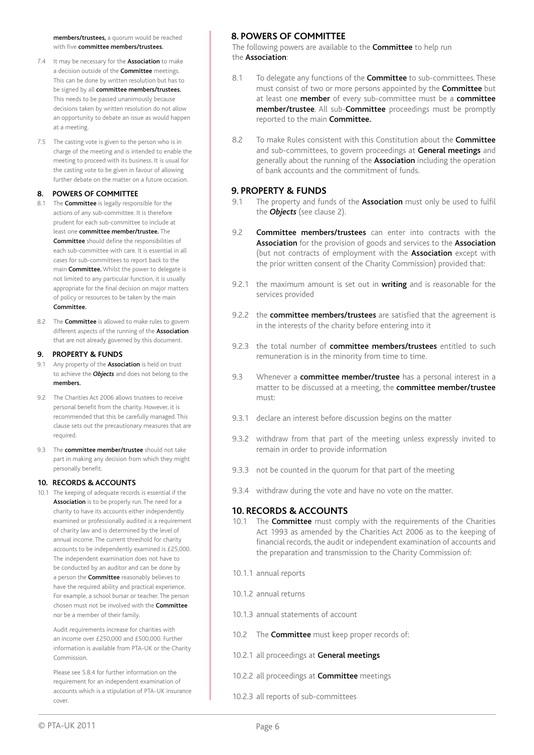members/trustees, a quorum would be reached with five **committee members/trustees** 

- 7.4 It may be necessary for the **Association** to make a decision outside of the **Committee** meetings. This can be done by written resolution but has to be signed by all committee members/trustees. This needs to be passed unanimously because decisions taken by written resolution do not allow an opportunity to debate an issue as would happen at a meeting.
- 7.5 The casting vote is given to the person who is in charge of the meeting and is intended to enable the meeting to proceed with its business. It is usual for the casting vote to be given in favour of allowing further debate on the matter on a future occasion.

#### **8. POWERS OF COMMITTEE**

- 8.1 The **Committee** is legally responsible for the actions of any sub-committee. It is therefore prudent for each sub-committee to include at least one committee member/trustee. The Committee should define the responsibilities of each sub-committee with care. It is essential in all cases for sub-committees to report back to the main Committee. Whilst the power to delegate is not limited to any particular function, it is usually appropriate for the final decision on major matters of policy or resources to be taken by the main Committee.
- 8.2 The **Committee** is allowed to make rules to govern different aspects of the running of the **Association** that are not already governed by this document.

#### **9. PROPERTY & FUNDS**

- 9.1 Any property of the **Association** is held on trust to achieve the *Objects* and does not belong to the members.
- 9.2 The Charities Act 2006 allows trustees to receive personal benefit from the charity. However, it is recommended that this be carefully managed. This clause sets out the precautionary measures that are required.
- 9.3 The **committee member/trustee** should not take part in making any decision from which they might personally benefit.

#### **10. RECORDS & ACCOUNTS**

10.1 The keeping of adequate records is essential if the Association is to be properly run. The need for a charity to have its accounts either independently examined or professionally audited is a requirement of charity law and is determined by the level of annual income. The current threshold for charity accounts to be independently examined is £25,000. The independent examination does not have to be conducted by an auditor and can be done by a person the **Committee** reasonably believes to have the required ability and practical experience. For example, a school bursar or teacher. The person chosen must not be involved with the Committee nor be a member of their family.

> Audit requirements increase for charities with an income over £250,000 and £500,000. Further information is available from PTA-UK or the Charity Commission.

> Please see 5.8.4 for further information on the requirement for an independent examination of accounts which is a stipulation of PTA-UK insurance cover.

#### **8. Powers of committee**

The following powers are available to the **Committee** to help run the Association:

- 8.1 To delegate any functions of the **Committee** to sub-committees. These must consist of two or more persons appointed by the **Committee** but at least one **member** of every sub-committee must be a **committee** member/trustee. All sub-Committee proceedings must be promptly reported to the main Committee.
- 8.2 To make Rules consistent with this Constitution about the **Committee** and sub-committees, to govern proceedings at General meetings and generally about the running of the **Association** including the operation of bank accounts and the commitment of funds.

#### **9. Property & funds**

- 9.1 The property and funds of the **Association** must only be used to fulfil the *Objects* (see clause 2).
- 9.2 **Committee members/trustees** can enter into contracts with the Association for the provision of goods and services to the Association (but not contracts of employment with the **Association** except with the prior written consent of the Charity Commission) provided that:
- 9.2.1 the maximum amount is set out in writing and is reasonable for the services provided
- 9.2.2 the **committee members/trustees** are satisfied that the agreement is in the interests of the charity before entering into it
- 9.2.3 the total number of committee members/trustees entitled to such remuneration is in the minority from time to time.
- 9.3 Whenever a **committee member/trustee** has a personal interest in a matter to be discussed at a meeting, the committee member/trustee must:
- 9.3.1 declare an interest before discussion begins on the matter
- 9.3.2 withdraw from that part of the meeting unless expressly invited to remain in order to provide information
- 9.3.3 not be counted in the quorum for that part of the meeting
- 9.3.4 withdraw during the vote and have no vote on the matter.

#### **10. Records & accounts**

- 10.1 The **Committee** must comply with the requirements of the Charities Act 1993 as amended by the Charities Act 2006 as to the keeping of financial records, the audit or independent examination of accounts and the preparation and transmission to the Charity Commission of:
- 10.1.1 annual reports
- 10.1.2 annual returns
- 10.1.3 annual statements of account
- 10.2 The **Committee** must keep proper records of:
- 10.2.1 all proceedings at General meetings
- 10.2.2 all proceedings at **Committee** meetings
- 10.2.3 all reports of sub-committees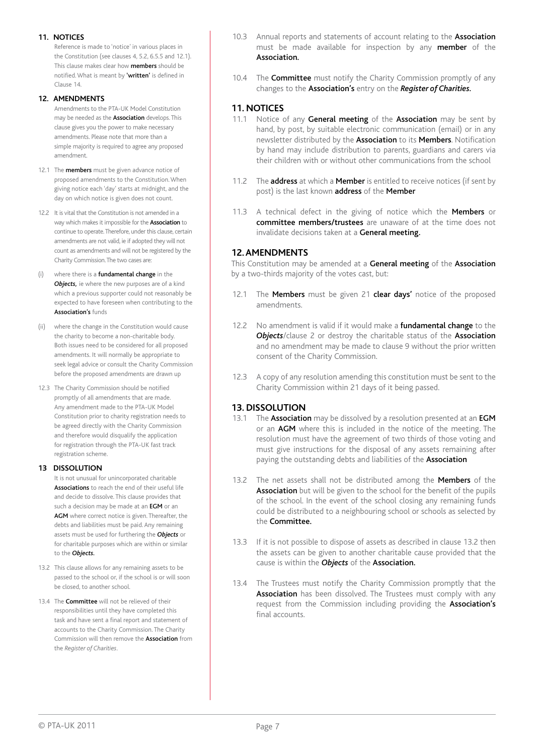#### **11. NOTICES**

Reference is made to 'notice' in various places in the Constitution (see clauses 4, 5.2, 6.5.5 and 12.1). This clause makes clear how **members** should be notified. What is meant by 'written' is defined in Clause 14.

#### **12. AMENDMENTS**

Amendments to the PTA-UK Model Constitution may be needed as the **Association** develops. This clause gives you the power to make necessary amendments. Please note that more than a simple majority is required to agree any proposed amendment.

- 12.1 The **members** must be given advance notice of proposed amendments to the Constitution. When giving notice each 'day' starts at midnight, and the day on which notice is given does not count.
- 12.2 It is vital that the Constitution is not amended in a way which makes it impossible for the **Association** to continue to operate. Therefore, under this clause, certain amendments are not valid, ie if adopted they will not count as amendments and will not be registered by the Charity Commission. The two cases are:
- (i) where there is a fundamental change in the *Objects,* ie where the new purposes are of a kind which a previous supporter could not reasonably be expected to have foreseen when contributing to the Association's funds
- (ii) where the change in the Constitution would cause the charity to become a non-charitable body. Both issues need to be considered for all proposed amendments. It will normally be appropriate to seek legal advice or consult the Charity Commission before the proposed amendments are drawn up
- 12.3 The Charity Commission should be notified promptly of all amendments that are made. Any amendment made to the PTA-UK Model Constitution prior to charity registration needs to be agreed directly with the Charity Commission and therefore would disqualify the application for registration through the PTA-UK fast track registration scheme.

#### **13 DISSOLUTION**

It is not unusual for unincorporated charitable Associations to reach the end of their useful life and decide to dissolve. This clause provides that such a decision may be made at an **EGM** or an AGM where correct notice is given. Thereafter, the debts and liabilities must be paid. Any remaining assets must be used for furthering the *Objects* or for charitable purposes which are within or similar to the *Objects.*

- 13.2 This clause allows for any remaining assets to be passed to the school or, if the school is or will soon be closed, to another school.
- 13.4 The **Committee** will not be relieved of their responsibilities until they have completed this task and have sent a final report and statement of accounts to the Charity Commission. The Charity Commission will then remove the Association from the *Register of Charities.*
- 10.3 Annual reports and statements of account relating to the **Association** must be made available for inspection by any **member** of the Association.
- 10.4 The **Committee** must notify the Charity Commission promptly of any changes to the Association's entry on the *Register of Charities.*

#### **11. Notices**

- 11.1 Notice of any General meeting of the Association may be sent by hand, by post, by suitable electronic communication (email) or in any newsletter distributed by the Association to its Members. Notification by hand may include distribution to parents, guardians and carers via their children with or without other communications from the school
- 11.2 The **address** at which a **Member** is entitled to receive notices (if sent by post) is the last known address of the Member
- 11.3 A technical defect in the giving of notice which the Members or committee members/trustees are unaware of at the time does not invalidate decisions taken at a General meeting.

#### **12. Amendments**

This Constitution may be amended at a General meeting of the Association by a two-thirds majority of the votes cast, but:

- 12.1 The Members must be given 21 clear days' notice of the proposed amendments.
- 12.2 No amendment is valid if it would make a **fundamental change** to the **Objects**/clause 2 or destroy the charitable status of the **Association** and no amendment may be made to clause 9 without the prior written consent of the Charity Commission.
- 12.3 A copy of any resolution amending this constitution must be sent to the Charity Commission within 21 days of it being passed.

#### **13. Dissolution**

- 13.1 The **Association** may be dissolved by a resolution presented at an **EGM** or an AGM where this is included in the notice of the meeting. The resolution must have the agreement of two thirds of those voting and must give instructions for the disposal of any assets remaining after paying the outstanding debts and liabilities of the **Association**
- 13.2 The net assets shall not be distributed among the Members of the Association but will be given to the school for the benefit of the pupils of the school. In the event of the school closing any remaining funds could be distributed to a neighbouring school or schools as selected by the Committee.
- 13.3 If it is not possible to dispose of assets as described in clause 13.2 then the assets can be given to another charitable cause provided that the cause is within the *Objects* of the Association.
- 13.4 The Trustees must notify the Charity Commission promptly that the Association has been dissolved. The Trustees must comply with any request from the Commission including providing the **Association's** final accounts.